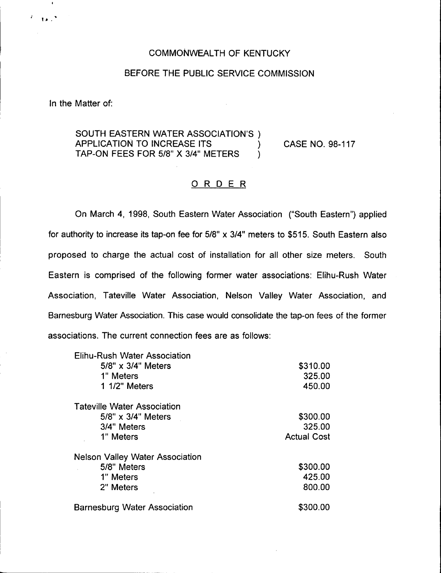## COMMONWEALTH OF KENTUCKY

## BEFORE THE PUBLIC SERVICE COMMISSION

In the Matter of:

 $12.7$ 

## SOUTH EASTERN WATER ASSOCIATION'S ) APPLICATION TO INCREASE ITS  $\left( \begin{array}{cc} 0 & 0 & 0 \\ 0 & \text{if } 0 & 0 \\ 0 & 0 & 0 \end{array} \right)$ TAP-ON FEES FOR 5/8" X 3/4" METERS )

CASE NO. 98-117

## ORDER

On March 4, 1998, South Eastern Water Association ("South Eastern") applied for authority to increase its tap-on fee for 5/8" x 3/4" meters to \$515. South Eastern also proposed to charge the actual cost of installation for all other size meters. South Eastern is comprised of the following former water associations: Elihu-Rush Water Association, Tateville Water Association, Nelson Valley Water Association, and Barnesburg Water Association. This case would consolidate the tap-on fees of the former associations. The current connection fees are as follows:

| <b>Elihu-Rush Water Association</b>    |                    |
|----------------------------------------|--------------------|
| 5/8" x 3/4" Meters                     | \$310.00           |
| 1" Meters                              | 325.00             |
| 1 1/2" Meters                          | 450.00             |
| <b>Tateville Water Association</b>     |                    |
| 5/8" x 3/4" Meters                     | \$300.00           |
| 3/4" Meters                            | 325.00             |
| 1" Meters                              | <b>Actual Cost</b> |
| <b>Nelson Valley Water Association</b> |                    |
| 5/8" Meters                            | \$300.00           |
| 1" Meters                              | 425.00             |
| 2" Meters                              | 800.00             |
| <b>Barnesburg Water Association</b>    | \$300.00           |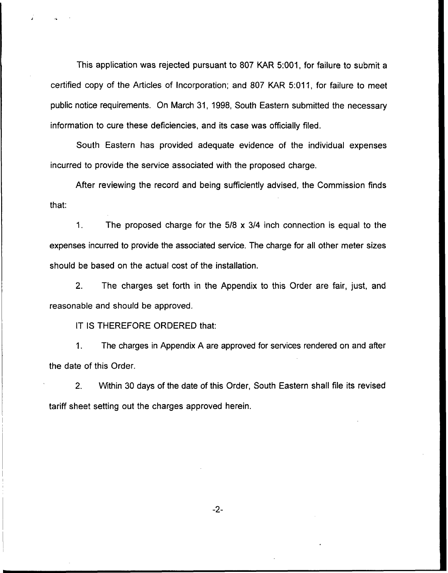This application was rejected pursuant to 807 KAR 5:001, for failure to submit a certified copy of the Articles of Incorporation; and 807 KAR 5:011, for failure to meet public notice requirements. On March 31, 1998, South Eastern submitted the necessary information to cure these deficiencies, and its case was officially filed.

South Eastern has provided adequate evidence of the individual expenses incurred to provide the service associated with the proposed charge.

After reviewing the record and being sufficiently advised, the Commission finds that.

 $1<sub>1</sub>$ The proposed charge for the  $5/8 \times 3/4$  inch connection is equal to the expenses incurred to provide the associated service. The charge for all other meter sizes should be based on the actual cost of the installation.

2. The charges set forth in the Appendix to this Order are fair, just, and reasonable and should be approved.

IT IS THEREFORE ORDERED that:

1. The charges in Appendix A are approved for services rendered on and after the date of this Order.

2. Within 30 days of the date of this Order, South Eastern shall file its revised tariff sheet setting out the charges approved herein.

 $-2-$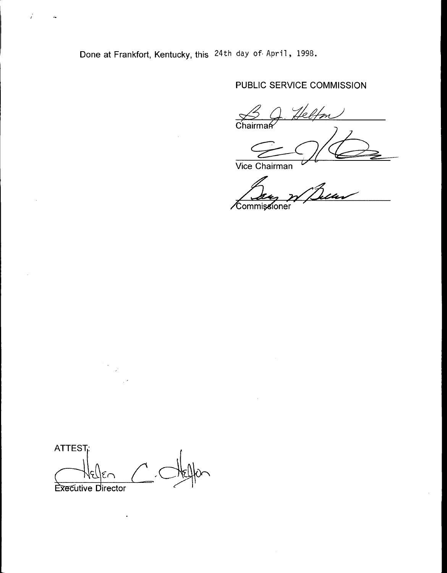Done at Frankfort, Kentucky, this 24th day of April, 1998.

# PUBLIC SERVICE COMMISSION

 $\frac{1}{\sqrt{2}}$ Chairma

Vice Chairman

Commissioner

**ATTEST: Executive Director** 

 $\cdot$ 

 $\vec{J}$ 

 $\sim$